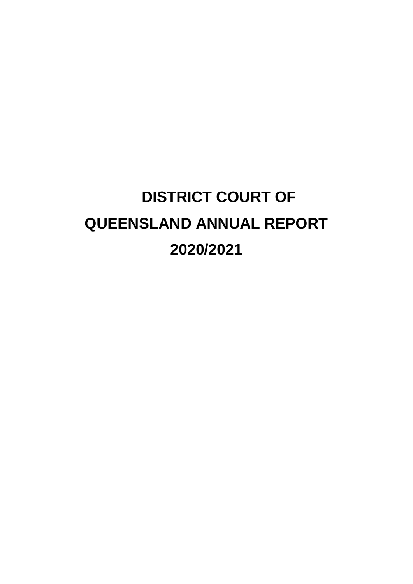# **DISTRICT COURT OF QUEENSLAND ANNUAL REPORT 2020/2021**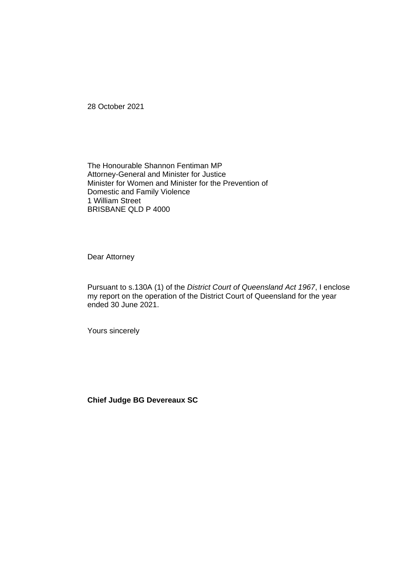28 October 2021

The Honourable Shannon Fentiman MP Attorney-General and Minister for Justice Minister for Women and Minister for the Prevention of Domestic and Family Violence 1 William Street BRISBANE QLD P 4000

Dear Attorney

Pursuant to s.130A (1) of the *District Court of Queensland Act 1967*, I enclose my report on the operation of the District Court of Queensland for the year ended 30 June 2021.

Yours sincerely

**Chief Judge BG Devereaux SC**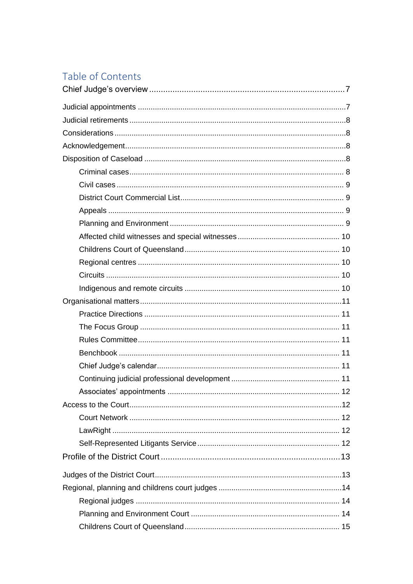### Table of Contents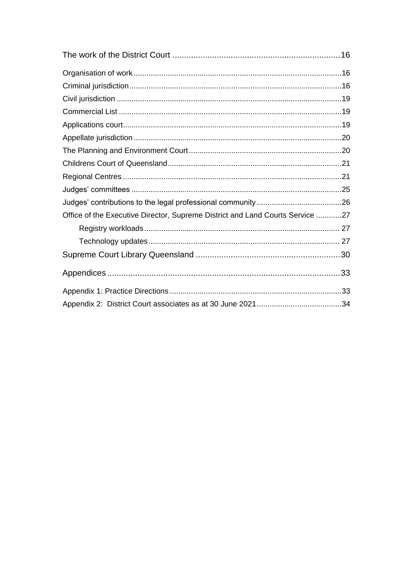| Office of the Executive Director, Supreme District and Land Courts Service 27 |  |
|-------------------------------------------------------------------------------|--|
|                                                                               |  |
|                                                                               |  |
|                                                                               |  |
|                                                                               |  |
|                                                                               |  |
|                                                                               |  |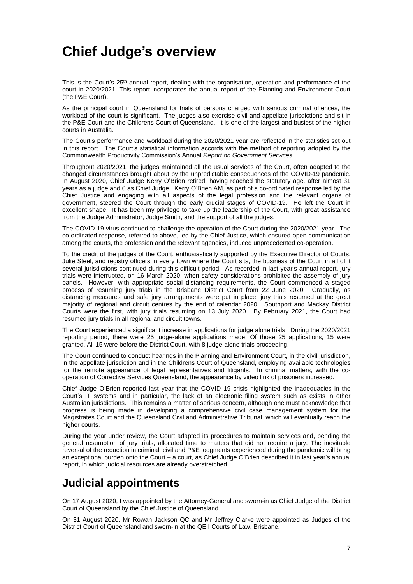### <span id="page-6-0"></span>**Chief Judge's overview**

This is the Court's 25<sup>th</sup> annual report, dealing with the organisation, operation and performance of the court in 2020/2021. This report incorporates the annual report of the Planning and Environment Court (the P&E Court).

As the principal court in Queensland for trials of persons charged with serious criminal offences, the workload of the court is significant. The judges also exercise civil and appellate jurisdictions and sit in the P&E Court and the Childrens Court of Queensland. It is one of the largest and busiest of the higher courts in Australia.

The Court's performance and workload during the 2020/2021 year are reflected in the statistics set out in this report. The Court's statistical information accords with the method of reporting adopted by the Commonwealth Productivity Commission's Annual *Report on Government Services*.

Throughout 2020/2021, the judges maintained all the usual services of the Court, often adapted to the changed circumstances brought about by the unpredictable consequences of the COVID-19 pandemic. In August 2020, Chief Judge Kerry O'Brien retired, having reached the statutory age, after almost 31 years as a judge and 6 as Chief Judge. Kerry O'Brien AM, as part of a co-ordinated response led by the Chief Justice and engaging with all aspects of the legal profession and the relevant organs of government, steered the Court through the early crucial stages of COVID-19. He left the Court in excellent shape. It has been my privilege to take up the leadership of the Court, with great assistance from the Judge Administrator, Judge Smith, and the support of all the judges.

The COVID-19 virus continued to challenge the operation of the Court during the 2020/2021 year. The co-ordinated response, referred to above, led by the Chief Justice, which ensured open communication among the courts, the profession and the relevant agencies, induced unprecedented co-operation.

To the credit of the judges of the Court, enthusiastically supported by the Executive Director of Courts, Julie Steel, and registry officers in every town where the Court sits, the business of the Court in all of it several jurisdictions continued during this difficult period. As recorded in last year's annual report, jury trials were interrupted, on 16 March 2020, when safety considerations prohibited the assembly of jury panels. However, with appropriate social distancing requirements, the Court commenced a staged process of resuming jury trials in the Brisbane District Court from 22 June 2020. Gradually, as distancing measures and safe jury arrangements were put in place, jury trials resumed at the great majority of regional and circuit centres by the end of calendar 2020. Southport and Mackay District Courts were the first, with jury trials resuming on 13 July 2020. By February 2021, the Court had resumed jury trials in all regional and circuit towns.

The Court experienced a significant increase in applications for judge alone trials. During the 2020/2021 reporting period, there were 25 judge-alone applications made. Of those 25 applications, 15 were granted. All 15 were before the District Court, with 8 judge-alone trials proceeding.

The Court continued to conduct hearings in the Planning and Environment Court, in the civil jurisdiction, in the appellate jurisdiction and in the Childrens Court of Queensland, employing available technologies for the remote appearance of legal representatives and litigants. In criminal matters, with the cooperation of Corrective Services Queensland, the appearance by video link of prisoners increased.

Chief Judge O'Brien reported last year that the COVID 19 crisis highlighted the inadequacies in the Court's IT systems and in particular, the lack of an electronic filing system such as exists in other Australian jurisdictions. This remains a matter of serious concern, although one must acknowledge that progress is being made in developing a comprehensive civil case management system for the Magistrates Court and the Queensland Civil and Administrative Tribunal, which will eventually reach the higher courts.

During the year under review, the Court adapted its procedures to maintain services and, pending the general resumption of jury trials, allocated time to matters that did not require a jury. The inevitable reversal of the reduction in criminal, civil and P&E lodgments experienced during the pandemic will bring an exceptional burden onto the Court – a court, as Chief Judge O'Brien described it in last year's annual report, in which judicial resources are already overstretched.

### <span id="page-6-1"></span>**Judicial appointments**

On 17 August 2020, I was appointed by the Attorney-General and sworn-in as Chief Judge of the District Court of Queensland by the Chief Justice of Queensland.

On 31 August 2020, Mr Rowan Jackson QC and Mr Jeffrey Clarke were appointed as Judges of the District Court of Queensland and sworn-in at the QEII Courts of Law, Brisbane.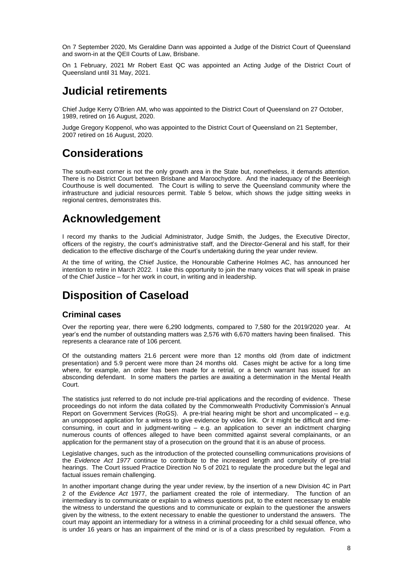On 7 September 2020, Ms Geraldine Dann was appointed a Judge of the District Court of Queensland and sworn-in at the QEII Courts of Law, Brisbane.

On 1 February, 2021 Mr Robert East QC was appointed an Acting Judge of the District Court of Queensland until 31 May, 2021.

### <span id="page-7-0"></span>**Judicial retirements**

Chief Judge Kerry O'Brien AM, who was appointed to the District Court of Queensland on 27 October, 1989, retired on 16 August, 2020.

Judge Gregory Koppenol, who was appointed to the District Court of Queensland on 21 September, 2007 retired on 16 August, 2020.

### <span id="page-7-1"></span>**Considerations**

The south-east corner is not the only growth area in the State but, nonetheless, it demands attention. There is no District Court between Brisbane and Maroochydore. And the inadequacy of the Beenleigh Courthouse is well documented. The Court is willing to serve the Queensland community where the infrastructure and judicial resources permit. Table 5 below, which shows the judge sitting weeks in regional centres, demonstrates this.

### <span id="page-7-2"></span>**Acknowledgement**

I record my thanks to the Judicial Administrator, Judge Smith, the Judges, the Executive Director, officers of the registry, the court's administrative staff, and the Director-General and his staff, for their dedication to the effective discharge of the Court's undertaking during the year under review.

At the time of writing, the Chief Justice, the Honourable Catherine Holmes AC, has announced her intention to retire in March 2022. I take this opportunity to join the many voices that will speak in praise of the Chief Justice – for her work in court, in writing and in leadership.

### <span id="page-7-3"></span>**Disposition of Caseload**

#### <span id="page-7-4"></span>**Criminal cases**

Over the reporting year, there were 6,290 lodgments, compared to 7,580 for the 2019/2020 year. At year's end the number of outstanding matters was 2,576 with 6,670 matters having been finalised. This represents a clearance rate of 106 percent.

Of the outstanding matters 21.6 percent were more than 12 months old (from date of indictment presentation) and 5.9 percent were more than 24 months old. Cases might be active for a long time where, for example, an order has been made for a retrial, or a bench warrant has issued for an absconding defendant. In some matters the parties are awaiting a determination in the Mental Health Court.

The statistics just referred to do not include pre-trial applications and the recording of evidence. These proceedings do not inform the data collated by the Commonwealth Productivity Commission's Annual Report on Government Services (RoGS). A pre-trial hearing might be short and uncomplicated – e.g. an unopposed application for a witness to give evidence by video link. Or it might be difficult and timeconsuming, in court and in judgment-writing – e.g. an application to sever an indictment charging numerous counts of offences alleged to have been committed against several complainants, or an application for the permanent stay of a prosecution on the ground that it is an abuse of process.

Legislative changes, such as the introduction of the protected counselling communications provisions of the *Evidence Act 1977* continue to contribute to the increased length and complexity of pre-trial hearings. The Court issued Practice Direction No 5 of 2021 to regulate the procedure but the legal and factual issues remain challenging.

In another important change during the year under review, by the insertion of a new Division 4C in Part 2 of the *Evidence Act* 1977, the parliament created the role of intermediary. The function of an intermediary is to communicate or explain to a witness questions put, to the extent necessary to enable the witness to understand the questions and to communicate or explain to the questioner the answers given by the witness, to the extent necessary to enable the questioner to understand the answers. The court may appoint an intermediary for a witness in a criminal proceeding for a child sexual offence, who is under 16 years or has an impairment of the mind or is of a class prescribed by regulation. From a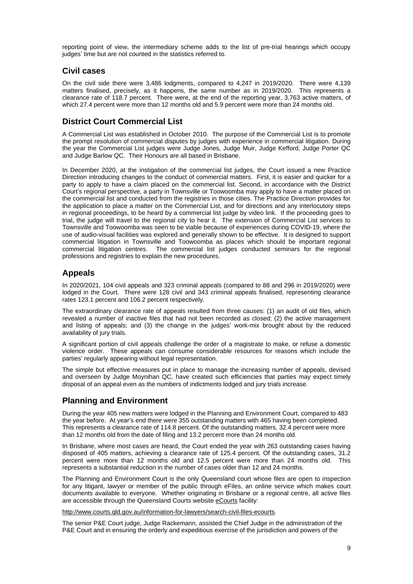reporting point of view, the intermediary scheme adds to the list of pre-trial hearings which occupy judges' time but are not counted in the statistics referred to.

#### <span id="page-8-0"></span>**Civil cases**

On the civil side there were 3,486 lodgments, compared to 4,247 in 2019/2020. There were 4,139 matters finalised, precisely, as it happens, the same number as in 2019/2020. This represents a clearance rate of 118.7 percent. There were, at the end of the reporting year, 3,763 active matters, of which 27.4 percent were more than 12 months old and 5.9 percent were more than 24 months old.

#### <span id="page-8-1"></span>**District Court Commercial List**

A Commercial List was established in October 2010. The purpose of the Commercial List is to promote the prompt resolution of commercial disputes by judges with experience in commercial litigation. During the year the Commercial List judges were Judge Jones, Judge Muir, Judge Kefford, Judge Porter QC and Judge Barlow QC. Their Honours are all based in Brisbane.

In December 2020, at the instigation of the commercial list judges, the Court issued a new Practice Direction introducing changes to the conduct of commercial matters. First, it is easier and quicker for a party to apply to have a claim placed on the commercial list. Second, in accordance with the District Court's regional perspective, a party in Townsville or Toowoomba may apply to have a matter placed on the commercial list and conducted from the registries in those cities. The Practice Direction provides for the application to place a matter on the Commercial List, and for directions and any interlocutory steps in regional proceedings, to be heard by a commercial list judge by video link. If the proceeding goes to trial, the judge will travel to the regional city to hear it. The extension of Commercial List services to Townsville and Toowoomba was seen to be viable because of experiences during COVID-19, where the use of audio-visual facilities was explored and generally shown to be effective. It is designed to support commercial litigation in Townsville and Toowoomba as places which should be important regional commercial litigation centres. The commercial list judges conducted seminars for the regional professions and registries to explain the new procedures.

#### <span id="page-8-2"></span>**Appeals**

In 2020/2021, 104 civil appeals and 323 criminal appeals (compared to 88 and 296 in 2019/2020) were lodged in the Court. There were 128 civil and 343 criminal appeals finalised, representing clearance rates 123.1 percent and 106.2 percent respectively.

The extraordinary clearance rate of appeals resulted from three causes: (1) an audit of old files, which revealed a number of inactive files that had not been recorded as closed; (2) the active management and listing of appeals; and (3) the change in the judges' work-mix brought about by the reduced availability of jury trials.

A significant portion of civil appeals challenge the order of a magistrate to make, or refuse a domestic violence order. These appeals can consume considerable resources for reasons which include the parties' regularly appearing without legal representation.

The simple but effective measures put in place to manage the increasing number of appeals, devised and overseen by Judge Moynihan QC, have created such efficiencies that parties may expect timely disposal of an appeal even as the numbers of indictments lodged and jury trials increase.

#### <span id="page-8-3"></span>**Planning and Environment**

During the year 405 new matters were lodged in the Planning and Environment Court, compared to 483 the year before. At year's end there were 355 outstanding matters with 465 having been completed. This represents a clearance rate of 114.8 percent. Of the outstanding matters, 32.4 percent were more than 12 months old from the date of filing and 13.2 percent more than 24 months old.

In Brisbane, where most cases are heard, the Court ended the year with 263 outstanding cases having disposed of 405 matters, achieving a clearance rate of 125.4 percent. Of the outstanding cases, 31.2 percent were more than 12 months old and 12.5 percent were more than 24 months old. This represents a substantial reduction in the number of cases older than 12 and 24 months.

The Planning and Environment Court is the only Queensland court whose files are open to inspection for any litigant, lawyer or member of the public through eFiles, an online service which makes court documents available to everyone. Whether originating in Brisbane or a regional centre, all active files are accessible through the Queensland Courts website eCourts facility:

[http://www.courts.qld.gov.au/information-for-lawyers/search-civil-files-ecourts.](http://www.courts.qld.gov.au/information-for-lawyers/search-civil-files-ecourts)

The senior P&E Court judge, Judge Rackemann, assisted the Chief Judge in the administration of the P&E Court and in ensuring the orderly and expeditious exercise of the jurisdiction and powers of the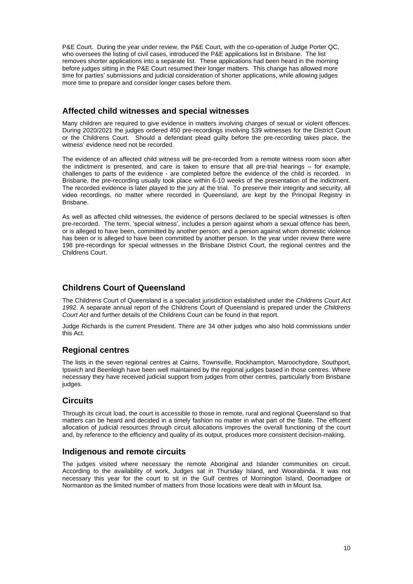P&E Court. During the year under review, the P&E Court, with the co-operation of Judge Porter QC, who oversees the listing of civil cases, introduced the P&E applications list in Brisbane. The list removes shorter applications into a separate list. These applications had been heard in the morning before judges sitting in the P&E Court resumed their longer matters. This change has allowed more time for parties' submissions and judicial consideration of shorter applications, while allowing judges more time to prepare and consider longer cases before them.

#### <span id="page-9-0"></span>**Affected child witnesses and special witnesses**

Many children are required to give evidence in matters involving charges of sexual or violent offences. During 2020/2021 the judges ordered 450 pre-recordings involving 539 witnesses for the District Court or the Childrens Court. Should a defendant plead guilty before the pre-recording takes place, the witness' evidence need not be recorded.

The evidence of an affected child witness will be pre-recorded from a remote witness room soon after the indictment is presented, and care is taken to ensure that all pre-trial hearings – for example, challenges to parts of the evidence - are completed before the evidence of the child is recorded. In Brisbane, the pre-recording usually took place within 6-10 weeks of the presentation of the indictment. The recorded evidence is later played to the jury at the trial. To preserve their integrity and security, all video recordings, no matter where recorded in Queensland, are kept by the Principal Registry in Brisbane.

As well as affected child witnesses, the evidence of persons declared to be special witnesses is often pre-recorded. The term, 'special witness', includes a person against whom a sexual offence has been, or is alleged to have been, committed by another person; and a person against whom domestic violence has been or is alleged to have been committed by another person. In the year under review there were 198 pre-recordings for special witnesses in the Brisbane District Court, the regional centres and the Childrens Court.

#### <span id="page-9-1"></span>**Childrens Court of Queensland**

The Childrens Court of Queensland is a specialist jurisdiction established under the *Childrens Court Act 1992*. A separate annual report of the Childrens Court of Queensland is prepared under the *Childrens Court Act* and further details of the Childrens Court can be found in that report.

Judge Richards is the current President. There are 34 other judges who also hold commissions under this Act.

#### <span id="page-9-2"></span>**Regional centres**

The lists in the seven regional centres at Cairns, Townsville, Rockhampton, Maroochydore, Southport, Ipswich and Beenleigh have been well maintained by the regional judges based in those centres. Where necessary they have received judicial support from judges from other centres, particularly from Brisbane judges.

#### <span id="page-9-3"></span>**Circuits**

Through its circuit load, the court is accessible to those in remote, rural and regional Queensland so that matters can be heard and decided in a timely fashion no matter in what part of the State. The efficient allocation of judicial resources through circuit allocations improves the overall functioning of the court and, by reference to the efficiency and quality of its output, produces more consistent decision-making.

#### <span id="page-9-4"></span>**Indigenous and remote circuits**

The judges visited where necessary the remote Aboriginal and Islander communities on circuit. According to the availability of work, Judges sat in Thursday Island, and Woorabinda. It was not necessary this year for the court to sit in the Gulf centres of Mornington Island, Doomadgee or Normanton as the limited number of matters from those locations were dealt with in Mount Isa.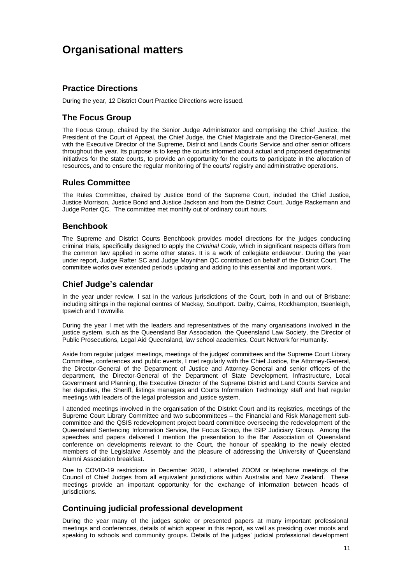### <span id="page-10-0"></span>**Organisational matters**

#### <span id="page-10-1"></span>**Practice Directions**

<span id="page-10-2"></span>During the year, 12 District Court Practice Directions were issued.

#### **The Focus Group**

The Focus Group, chaired by the Senior Judge Administrator and comprising the Chief Justice, the President of the Court of Appeal, the Chief Judge, the Chief Magistrate and the Director-General, met with the Executive Director of the Supreme, District and Lands Courts Service and other senior officers throughout the year. Its purpose is to keep the courts informed about actual and proposed departmental initiatives for the state courts, to provide an opportunity for the courts to participate in the allocation of resources, and to ensure the regular monitoring of the courts' registry and administrative operations.

#### <span id="page-10-3"></span>**Rules Committee**

The Rules Committee, chaired by Justice Bond of the Supreme Court, included the Chief Justice, Justice Morrison, Justice Bond and Justice Jackson and from the District Court, Judge Rackemann and Judge Porter QC. The committee met monthly out of ordinary court hours.

#### <span id="page-10-4"></span>**Benchbook**

The Supreme and District Courts Benchbook provides model directions for the judges conducting criminal trials, specifically designed to apply the *Criminal Code*, which in significant respects differs from the common law applied in some other states. It is a work of collegiate endeavour. During the year under report, Judge Rafter SC and Judge Moynihan QC contributed on behalf of the District Court. The committee works over extended periods updating and adding to this essential and important work.

#### <span id="page-10-5"></span>**Chief Judge's calendar**

In the year under review, I sat in the various jurisdictions of the Court, both in and out of Brisbane: including sittings in the regional centres of Mackay, Southport. Dalby, Cairns, Rockhampton, Beenleigh, Ipswich and Townville.

During the year I met with the leaders and representatives of the many organisations involved in the justice system, such as the Queensland Bar Association, the Queensland Law Society, the Director of Public Prosecutions, Legal Aid Queensland, law school academics, Court Network for Humanity.

Aside from regular judges' meetings, meetings of the judges' committees and the Supreme Court Library Committee, conferences and public events, I met regularly with the Chief Justice, the Attorney-General, the Director-General of the Department of Justice and Attorney-General and senior officers of the department, the Director-General of the Department of State Development, Infrastructure, Local Government and Planning, the Executive Director of the Supreme District and Land Courts Service and her deputies, the Sheriff, listings managers and Courts Information Technology staff and had regular meetings with leaders of the legal profession and justice system.

I attended meetings involved in the organisation of the District Court and its registries, meetings of the Supreme Court Library Committee and two subcommittees – the Financial and Risk Management subcommittee and the QSIS redevelopment project board committee overseeing the redevelopment of the Queensland Sentencing Information Service, the Focus Group, the ISIP Judiciary Group. Among the speeches and papers delivered I mention the presentation to the Bar Association of Queensland conference on developments relevant to the Court, the honour of speaking to the newly elected members of the Legislative Assembly and the pleasure of addressing the University of Queensland Alumni Association breakfast.

Due to COVID-19 restrictions in December 2020, I attended ZOOM or telephone meetings of the Council of Chief Judges from all equivalent jurisdictions within Australia and New Zealand. These meetings provide an important opportunity for the exchange of information between heads of jurisdictions.

#### <span id="page-10-6"></span>**Continuing judicial professional development**

During the year many of the judges spoke or presented papers at many important professional meetings and conferences, details of which appear in this report, as well as presiding over moots and speaking to schools and community groups. Details of the judges' judicial professional development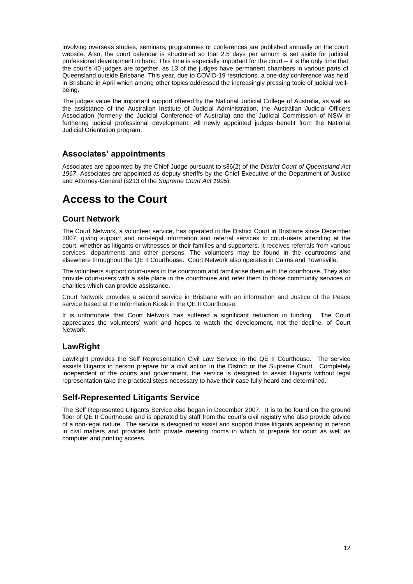involving overseas studies, seminars, programmes or conferences are published annually on the court website. Also, the court calendar is structured so that 2.5 days per annum is set aside for judicial professional development in banc. This time is especially important for the court – it is the only time that the court's 40 judges are together, as 13 of the judges have permanent chambers in various parts of Queensland outside Brisbane. This year, due to COVID-19 restrictions, a one-day conference was held in Brisbane in April which among other topics addressed the increasingly pressing topic of judicial wellbeing.

The judges value the important support offered by the National Judicial College of Australia, as well as the assistance of the Australian Institute of Judicial Administration, the Australian Judicial Officers Association (formerly the Judicial Conference of Australia) and the Judicial Commission of NSW in furthering judicial professional development. All newly appointed judges benefit from the National Judicial Orientation program.

#### <span id="page-11-0"></span>**Associates' appointments**

Associates are appointed by the Chief Judge pursuant to s36(2) of the *District Court of Queensland Act 1967*. Associates are appointed as deputy sheriffs by the Chief Executive of the Department of Justice and Attorney-General (s213 of the *Supreme Court Act 1995*).

### <span id="page-11-1"></span>**Access to the Court**

#### <span id="page-11-2"></span>**Court Network**

The Court Network, a volunteer service, has operated in the District Court in Brisbane since December 2007, giving support and non-legal information and referral services to court-users attending at the court, whether as litigants or witnesses or their families and supporters. It receives referrals from various services, departments and other persons. The volunteers may be found in the courtrooms and elsewhere throughout the QE II Courthouse. Court Network also operates in Cairns and Townsville.

The volunteers support court-users in the courtroom and familiarise them with the courthouse. They also provide court-users with a safe place in the courthouse and refer them to those community services or charities which can provide assistance.

Court Network provides a second service in Brisbane with an information and Justice of the Peace service based at the Information Kiosk in the QE II Courthouse.

It is unfortunate that Court Network has suffered a significant reduction in funding. The Court appreciates the volunteers' work and hopes to watch the development, not the decline, of Court Network.

#### <span id="page-11-3"></span>**LawRight**

LawRight provides the Self Representation Civil Law Service in the QE II Courthouse. The service assists litigants in person prepare for a civil action in the District or the Supreme Court. Completely independent of the courts and government, the service is designed to assist litigants without legal representation take the practical steps necessary to have their case fully heard and determined.

#### <span id="page-11-4"></span>**Self-Represented Litigants Service**

The Self Represented Litigants Service also began in December 2007. It is to be found on the ground floor of QE II Courthouse and is operated by staff from the court's civil registry who also provide advice of a non-legal nature. The service is designed to assist and support those litigants appearing in person in civil matters and provides both private meeting rooms in which to prepare for court as well as computer and printing access.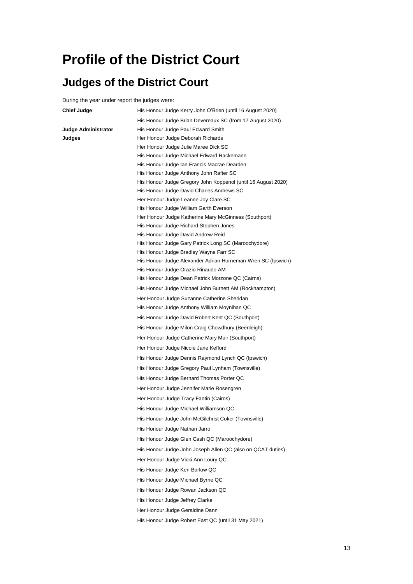### <span id="page-12-0"></span>**Profile of the District Court**

### <span id="page-12-1"></span>**Judges of the District Court**

During the year under report the judges were:

| <b>Chief Judge</b>  | His Honour Judge Kerry John O'Brien (until 16 August 2020)                                      |
|---------------------|-------------------------------------------------------------------------------------------------|
|                     | His Honour Judge Brian Devereaux SC (from 17 August 2020)                                       |
| Judge Administrator | His Honour Judge Paul Edward Smith                                                              |
| Judges              | Her Honour Judge Deborah Richards                                                               |
|                     | Her Honour Judge Julie Maree Dick SC                                                            |
|                     | His Honour Judge Michael Edward Rackemann                                                       |
|                     | His Honour Judge Ian Francis Macrae Dearden                                                     |
|                     | His Honour Judge Anthony John Rafter SC                                                         |
|                     | His Honour Judge Gregory John Koppenol (until 16 August 2020)                                   |
|                     | His Honour Judge David Charles Andrews SC                                                       |
|                     | Her Honour Judge Leanne Joy Clare SC                                                            |
|                     | His Honour Judge William Garth Everson<br>Her Honour Judge Katherine Mary McGinness (Southport) |
|                     | His Honour Judge Richard Stephen Jones                                                          |
|                     | His Honour Judge David Andrew Reid                                                              |
|                     | His Honour Judge Gary Patrick Long SC (Maroochydore)                                            |
|                     | His Honour Judge Bradley Wayne Farr SC                                                          |
|                     | His Honour Judge Alexander Adrian Horneman-Wren SC (Ipswich)                                    |
|                     | His Honour Judge Orazio Rinaudo AM                                                              |
|                     | His Honour Judge Dean Patrick Morzone QC (Cairns)                                               |
|                     | His Honour Judge Michael John Burnett AM (Rockhampton)                                          |
|                     | Her Honour Judge Suzanne Catherine Sheridan                                                     |
|                     | His Honour Judge Anthony William Moynihan QC                                                    |
|                     | His Honour Judge David Robert Kent QC (Southport)                                               |
|                     | His Honour Judge Milon Craig Chowdhury (Beenleigh)                                              |
|                     | Her Honour Judge Catherine Mary Muir (Southport)                                                |
|                     | Her Honour Judge Nicole Jane Kefford                                                            |
|                     | His Honour Judge Dennis Raymond Lynch QC (Ipswich)                                              |
|                     | His Honour Judge Gregory Paul Lynham (Townsville)                                               |
|                     | His Honour Judge Bernard Thomas Porter QC                                                       |
|                     | Her Honour Judge Jennifer Marie Rosengren                                                       |
|                     | Her Honour Judge Tracy Fantin (Cairns)                                                          |
|                     | His Honour Judge Michael Williamson QC                                                          |
|                     | His Honour Judge John McGilchrist Coker (Townsville)                                            |
|                     | His Honour Judge Nathan Jarro                                                                   |
|                     | His Honour Judge Glen Cash QC (Maroochydore)                                                    |
|                     | His Honour Judge John Joseph Allen QC (also on QCAT duties)                                     |
|                     | Her Honour Judge Vicki Ann Loury QC                                                             |
|                     | His Honour Judge Ken Barlow QC                                                                  |
|                     | His Honour Judge Michael Byrne QC                                                               |
|                     | His Honour Judge Rowan Jackson QC                                                               |
|                     | His Honour Judge Jeffrey Clarke                                                                 |
|                     | Her Honour Judge Geraldine Dann                                                                 |
|                     | His Honour Judge Robert East QC (until 31 May 2021)                                             |
|                     |                                                                                                 |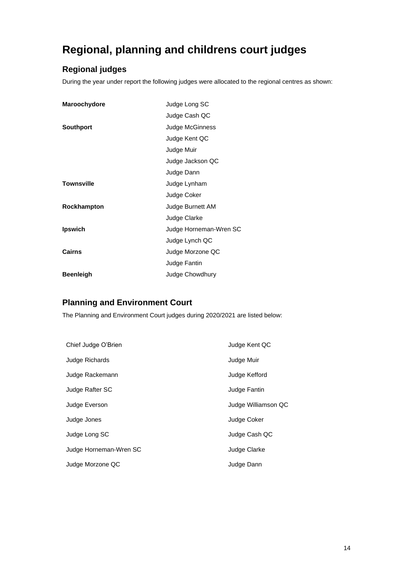### <span id="page-13-0"></span>**Regional, planning and childrens court judges**

#### <span id="page-13-1"></span>**Regional judges**

During the year under report the following judges were allocated to the regional centres as shown:

| Maroochydore      | Judge Long SC          |
|-------------------|------------------------|
|                   | Judge Cash QC          |
| <b>Southport</b>  | Judge McGinness        |
|                   | Judge Kent QC          |
|                   | Judge Muir             |
|                   | Judge Jackson QC       |
|                   | Judge Dann             |
| <b>Townsville</b> | Judge Lynham           |
|                   | Judge Coker            |
| Rockhampton       | Judge Burnett AM       |
|                   | Judge Clarke           |
| <b>Ipswich</b>    | Judge Horneman-Wren SC |
|                   | Judge Lynch QC         |
| Cairns            | Judge Morzone QC       |
|                   | Judge Fantin           |
| <b>Beenleigh</b>  | Judge Chowdhury        |

#### <span id="page-13-2"></span>**Planning and Environment Court**

The Planning and Environment Court judges during 2020/2021 are listed below:

| Chief Judge O'Brien    | Judge Kent QC       |
|------------------------|---------------------|
| Judge Richards         | Judge Muir          |
| Judge Rackemann        | Judge Kefford       |
| Judge Rafter SC        | Judge Fantin        |
| Judge Everson          | Judge Williamson QC |
| Judge Jones            | Judge Coker         |
| Judge Long SC          | Judge Cash QC       |
| Judge Horneman-Wren SC | Judge Clarke        |
| Judge Morzone QC       | Judge Dann          |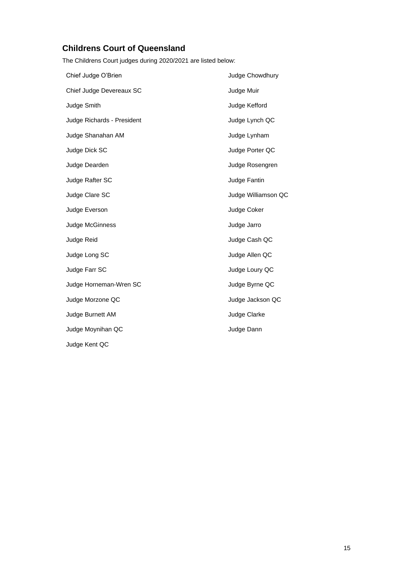#### <span id="page-14-0"></span>**Childrens Court of Queensland**

The Childrens Court judges during 2020/2021 are listed below:

| Chief Judge O'Brien        | Judge Chowdhury     |
|----------------------------|---------------------|
| Chief Judge Devereaux SC   | Judge Muir          |
| Judge Smith                | Judge Kefford       |
| Judge Richards - President | Judge Lynch QC      |
| Judge Shanahan AM          | Judge Lynham        |
| Judge Dick SC              | Judge Porter QC     |
| Judge Dearden              | Judge Rosengren     |
| Judge Rafter SC            | Judge Fantin        |
| Judge Clare SC             | Judge Williamson QC |
| Judge Everson              | Judge Coker         |
| Judge McGinness            | Judge Jarro         |
| Judge Reid                 | Judge Cash QC       |
| Judge Long SC              | Judge Allen QC      |
| Judge Farr SC              | Judge Loury QC      |
| Judge Horneman-Wren SC     | Judge Byrne QC      |
| Judge Morzone QC           | Judge Jackson QC    |
| Judge Burnett AM           | Judge Clarke        |
| Judge Moynihan QC          | Judge Dann          |
| Judge Kent QC              |                     |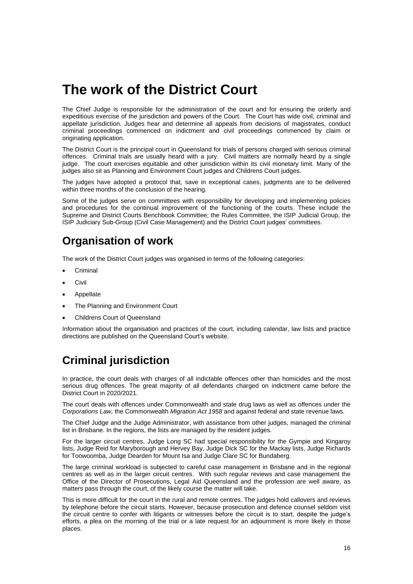### <span id="page-15-0"></span>**The work of the District Court**

The Chief Judge is responsible for the administration of the court and for ensuring the orderly and expeditious exercise of the jurisdiction and powers of the Court. The Court has wide civil, criminal and appellate jurisdiction. Judges hear and determine all appeals from decisions of magistrates, conduct criminal proceedings commenced on indictment and civil proceedings commenced by claim or originating application.

The District Court is the principal court in Queensland for trials of persons charged with serious criminal offences. Criminal trials are usually heard with a jury. Civil matters are normally heard by a single judge. The court exercises equitable and other jurisdiction within its civil monetary limit. Many of the judges also sit as Planning and Environment Court judges and Childrens Court judges.

The judges have adopted a protocol that, save in exceptional cases, judgments are to be delivered within three months of the conclusion of the hearing.

Some of the judges serve on committees with responsibility for developing and implementing policies and procedures for the continual improvement of the functioning of the courts. These include the Supreme and District Courts Benchbook Committee; the Rules Committee, the ISIP Judicial Group, the ISIP Judiciary Sub-Group (Civil Case Management) and the District Court judges' committees.

### <span id="page-15-1"></span>**Organisation of work**

The work of the District Court judges was organised in terms of the following categories:

- **Criminal**
- **Civil**
- **Appellate**
- The Planning and Environment Court
- Childrens Court of Queensland

Information about the organisation and practices of the court, including calendar, law lists and practice directions are published on the Queensland Court's website.

### <span id="page-15-2"></span>**Criminal jurisdiction**

In practice, the court deals with charges of all indictable offences other than homicides and the most serious drug offences. The great majority of all defendants charged on indictment came before the District Court in 2020/2021.

The court deals with offences under Commonwealth and state drug laws as well as offences under the *Corporations Law,* the Commonwealth *Migration Act 1958* and against federal and state revenue laws.

The Chief Judge and the Judge Administrator, with assistance from other judges, managed the criminal list in Brisbane. In the regions, the lists are managed by the resident judges.

For the larger circuit centres, Judge Long SC had special responsibility for the Gympie and Kingaroy lists, Judge Reid for Maryborough and Hervey Bay, Judge Dick SC for the Mackay lists, Judge Richards for Toowoomba, Judge Dearden for Mount Isa and Judge Clare SC for Bundaberg.

The large criminal workload is subjected to careful case management in Brisbane and in the regional centres as well as in the larger circuit centres. With such regular reviews and case management the Office of the Director of Prosecutions, Legal Aid Queensland and the profession are well aware, as matters pass through the court, of the likely course the matter will take.

This is more difficult for the court in the rural and remote centres. The judges hold callovers and reviews by telephone before the circuit starts. However, because prosecution and defence counsel seldom visit the circuit centre to confer with litigants or witnesses before the circuit is to start, despite the judge's efforts, a plea on the morning of the trial or a late request for an adjournment is more likely in those places.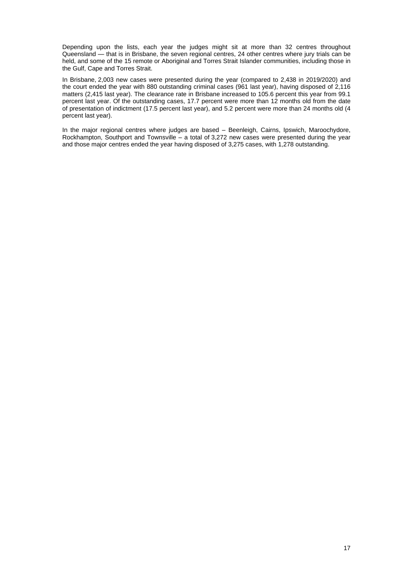Depending upon the lists, each year the judges might sit at more than 32 centres throughout Queensland — that is in Brisbane, the seven regional centres, 24 other centres where jury trials can be held, and some of the 15 remote or Aboriginal and Torres Strait Islander communities, including those in the Gulf, Cape and Torres Strait.

In Brisbane, 2,003 new cases were presented during the year (compared to 2,438 in 2019/2020) and the court ended the year with 880 outstanding criminal cases (961 last year), having disposed of 2,116 matters (2,415 last year). The clearance rate in Brisbane increased to 105.6 percent this year from 99.1 percent last year. Of the outstanding cases, 17.7 percent were more than 12 months old from the date of presentation of indictment (17.5 percent last year), and 5.2 percent were more than 24 months old (4 percent last year).

In the major regional centres where judges are based – Beenleigh, Cairns, Ipswich, Maroochydore, Rockhampton, Southport and Townsville – a total of 3,272 new cases were presented during the year and those major centres ended the year having disposed of 3,275 cases, with 1,278 outstanding.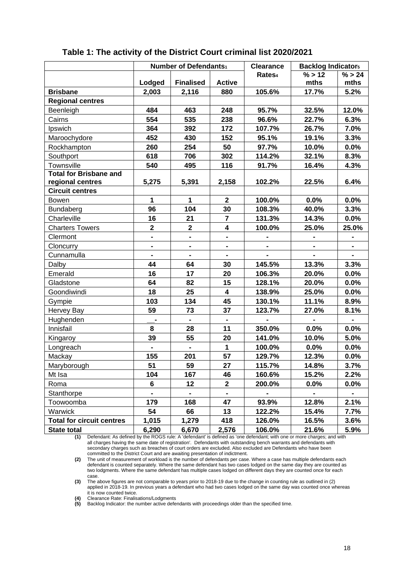|                                                   | Number of Defendants1        |                          |                         | <b>Clearance</b>   | <b>Backlog Indicators</b> |                |
|---------------------------------------------------|------------------------------|--------------------------|-------------------------|--------------------|---------------------------|----------------|
|                                                   |                              |                          |                         | Rates <sub>4</sub> | % > 12                    | % > 24         |
|                                                   | Lodged                       | <b>Finalised</b>         | <b>Active</b>           |                    | mths                      | mths           |
| <b>Brisbane</b>                                   | 2,003                        | 2,116                    | 880                     | 105.6%             | 17.7%                     | 5.2%           |
| <b>Regional centres</b>                           |                              |                          |                         |                    |                           |                |
| Beenleigh                                         | 484                          | 463                      | 248                     | 95.7%              | 32.5%                     | 12.0%          |
| Cairns                                            | 554                          | 535                      | 238                     | 96.6%              | 22.7%                     | 6.3%           |
| Ipswich                                           | 364                          | 392                      | 172                     | 107.7%             | 26.7%                     | 7.0%           |
| Maroochydore                                      | 452                          | 430                      | 152                     | 95.1%              | 19.1%                     | 3.3%           |
| Rockhampton                                       | 260                          | 254                      | 50                      | 97.7%              | 10.0%                     | 0.0%           |
| Southport                                         | 618                          | 706                      | 302                     | 114.2%             | 32.1%                     | 8.3%           |
| Townsville                                        | 540                          | 495                      | 116                     | 91.7%              | 16.4%                     | 4.3%           |
| <b>Total for Brisbane and</b><br>regional centres | 5,275                        | 5,391                    | 2,158                   | 102.2%             | 22.5%                     | 6.4%           |
| <b>Circuit centres</b>                            |                              |                          |                         |                    |                           |                |
| <b>Bowen</b>                                      | 1                            | $\mathbf{1}$             | $\overline{\mathbf{2}}$ | 100.0%             | 0.0%                      | 0.0%           |
| <b>Bundaberg</b>                                  | 96                           | 104                      | 30                      | 108.3%             | 40.0%                     | 3.3%           |
| Charleville                                       | 16                           | 21                       | $\overline{7}$          | 131.3%             | 14.3%                     | $0.0\%$        |
| <b>Charters Towers</b>                            | $\mathbf{2}$                 | $\mathbf{2}$             | $\overline{\mathbf{4}}$ | 100.0%             | 25.0%                     | 25.0%          |
| Clermont                                          | $\qquad \qquad \blacksquare$ | $\overline{\phantom{0}}$ | $\blacksquare$          |                    |                           |                |
| Cloncurry                                         |                              | $\overline{\phantom{0}}$ |                         |                    |                           |                |
| Cunnamulla                                        |                              |                          | $\blacksquare$          |                    |                           | $\blacksquare$ |
| Dalby                                             | 44                           | 64                       | 30                      | 145.5%             | 13.3%                     | 3.3%           |
| Emerald                                           | 16                           | 17                       | 20                      | 106.3%             | 20.0%                     | $0.0\%$        |
| Gladstone                                         | 64                           | 82                       | 15                      | 128.1%             | 20.0%                     | 0.0%           |
| Goondiwindi                                       | 18                           | 25                       | 4                       | 138.9%             | 25.0%                     | 0.0%           |
| Gympie                                            | 103                          | 134                      | 45                      | 130.1%             | 11.1%                     | 8.9%           |
| Hervey Bay                                        | 59                           | 73                       | 37                      | 123.7%             | 27.0%                     | 8.1%           |
| Hughenden                                         | $\blacksquare$               | $\blacksquare$           | $\blacksquare$          |                    |                           | $\blacksquare$ |
| Innisfail                                         | 8                            | 28                       | 11                      | 350.0%             | 0.0%                      | 0.0%           |
| Kingaroy                                          | 39                           | 55                       | 20                      | 141.0%             | 10.0%                     | 5.0%           |
| Longreach                                         |                              |                          | $\mathbf 1$             | 100.0%             | 0.0%                      | 0.0%           |
| Mackay                                            | 155                          | 201                      | 57                      | 129.7%             | 12.3%                     | 0.0%           |
| Maryborough                                       | 51                           | 59                       | 27                      | 115.7%             | 14.8%                     | 3.7%           |
| Mt Isa                                            | 104                          | 167                      | 46                      | 160.6%             | 15.2%                     | 2.2%           |
| Roma                                              | 6                            | 12                       | $\overline{2}$          | 200.0%             | $0.0\%$                   | $0.0\%$        |
| Stanthorpe                                        |                              |                          |                         |                    |                           |                |
| Toowoomba                                         | 179                          | 168                      | 47                      | 93.9%              | 12.8%                     | 2.1%           |
| Warwick                                           | 54                           | 66                       | 13                      | 122.2%             | 15.4%                     | 7.7%           |
| <b>Total for circuit centres</b>                  | 1,015                        | 1,279                    | 418                     | 126.0%             | 16.5%                     | 3.6%           |
| <b>State total</b>                                | 6,290                        | 6,670                    | 2,576                   | 106.0%             | 21.6%                     | 5.9%           |

#### **Table 1: The activity of the District Court criminal list 2020/2021**

**(1)** Defendant: As defined by the ROGS rule: A 'defendant' is defined as 'one defendant; with one or more charges; and with all charges having the same date of registration'. Defendants with outstanding bench warrants and defendants with secondary charges such as breaches of court orders are excluded. Also excluded are Defendants who have been committed to the District Court and are awaiting presentation of indictment.

**(2)** The unit of measurement of workload is the number of defendants per case. Where a case has multiple defendants each defendant is counted separately. Where the same defendant has two cases lodged on the same day they are counted as two lodgments. Where the same defendant has multiple cases lodged on different days they are counted once for each case.

**(3)** The above figures are not comparable to years prior to 2018-19 due to the change in counting rule as outlined in (2) applied in 2018-19. In previous years a defendant who had two cases lodged on the same day was counted once whereas it is now counted twice.

**(4)** Clearance Rate: Finalisations/Lodgments

**(5)** Backlog Indicator: the number active defendants with proceedings older than the specified time.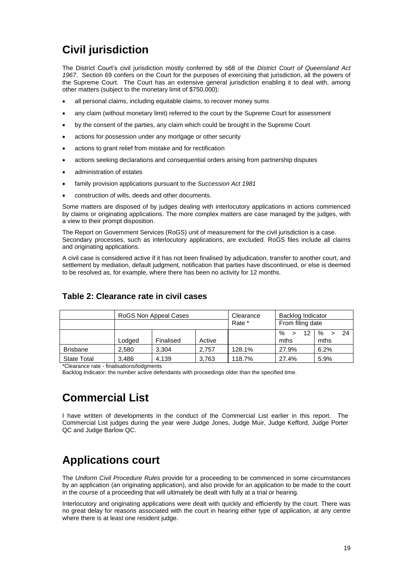### <span id="page-18-0"></span>**Civil jurisdiction**

The District Court's civil jurisdiction mostly conferred by s68 of the *District Court of Queensland Act 1967*. Section 69 confers on the Court for the purposes of exercising that jurisdiction, all the powers of the Supreme Court. The Court has an extensive general jurisdiction enabling it to deal with, among other matters (subject to the monetary limit of \$750,000):

- all personal claims, including equitable claims, to recover money sums
- any claim (without monetary limit) referred to the court by the Supreme Court for assessment
- by the consent of the parties, any claim which could be brought in the Supreme Court
- actions for possession under any mortgage or other security
- actions to grant relief from mistake and for rectification
- actions seeking declarations and consequential orders arising from partnership disputes
- administration of estates
- family provision applications pursuant to the *Succession Act 1981*
- construction of wills, deeds and other documents.

Some matters are disposed of by judges dealing with interlocutory applications in actions commenced by claims or originating applications. The more complex matters are case managed by the judges, with a view to their prompt disposition.

The Report on Government Services (RoGS) unit of measurement for the civil jurisdiction is a case. Secondary processes, such as interlocutory applications, are excluded. RoGS files include all claims and originating applications.

A civil case is considered active if it has not been finalised by adjudication, transfer to another court, and settlement by mediation, default judgment, notification that parties have discontinued, or else is deemed to be resolved as, for example, where there has been no activity for 12 months.

|                    |        | RoGS Non Appeal Cases |        |        | Backlog Indicator<br>From filing date |                    |
|--------------------|--------|-----------------------|--------|--------|---------------------------------------|--------------------|
|                    | Lodaed | Finalised             | Active |        | %<br>12<br>mths                       | $\%$<br>24<br>mths |
| <b>Brisbane</b>    | 2.580  | 3.304                 | 2.757  | 128.1% | 27.9%                                 | 6.2%               |
| <b>State Total</b> | 3.486  | 4.139                 | 3.763  | 118.7% | 27.4%                                 | 5.9%               |

#### **Table 2: Clearance rate in civil cases**

\*Clearance rate - finalisations/lodgments

Backlog Indicator: the number active defendants with proceedings older than the specified time.

### <span id="page-18-1"></span>**Commercial List**

I have written of developments in the conduct of the Commercial List earlier in this report. The Commercial List judges during the year were Judge Jones, Judge Muir, Judge Kefford, Judge Porter QC and Judge Barlow QC.

### <span id="page-18-2"></span>**Applications court**

The *Uniform Civil Procedure Rules* provide for a proceeding to be commenced in some circumstances by an application (an originating application), and also provide for an application to be made to the court in the course of a proceeding that will ultimately be dealt with fully at a trial or hearing.

Interlocutory and originating applications were dealt with quickly and efficiently by the court. There was no great delay for reasons associated with the court in hearing either type of application, at any centre where there is at least one resident judge.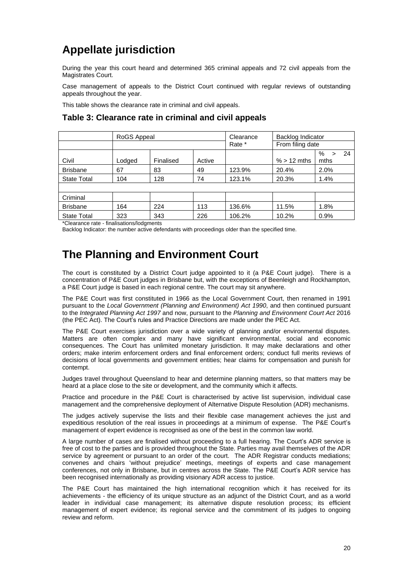### <span id="page-19-0"></span>**Appellate jurisdiction**

During the year this court heard and determined 365 criminal appeals and 72 civil appeals from the Magistrates Court.

Case management of appeals to the District Court continued with regular reviews of outstanding appeals throughout the year.

This table shows the clearance rate in criminal and civil appeals.

#### RoGS Appeal Clearance Backlog Indicator Rate \* From filing date Civil Lodged Finalised Active % > 12 mths %  $> 24$ mths Brisbane 67 83 49 123.9% 20.4% 2.0% State Total 104 128 74 123.1% 20.3% 1.4% **Criminal** Brisbane 164 224 113 136.6% 11.5% 1.8% State Total | 323 | 343 | 226 | 106.2% | 10.2% | 0.9%

#### **Table 3: Clearance rate in criminal and civil appeals**

\*Clearance rate - finalisations/lodgments

Backlog Indicator: the number active defendants with proceedings older than the specified time.

### <span id="page-19-1"></span>**The Planning and Environment Court**

The court is constituted by a District Court judge appointed to it (a P&E Court judge). There is a concentration of P&E Court judges in Brisbane but, with the exceptions of Beenleigh and Rockhampton, a P&E Court judge is based in each regional centre. The court may sit anywhere.

The P&E Court was first constituted in 1966 as the Local Government Court, then renamed in 1991 pursuant to the *Local Government (Planning and Environment) Act 1990*, and then continued pursuant to the *Integrated Planning Act 1997* and now, pursuant to the *Planning and Environment Court Act* 2016 (the PEC Act). The Court's rules and Practice Directions are made under the PEC Act.

The P&E Court exercises jurisdiction over a wide variety of planning and/or environmental disputes. Matters are often complex and many have significant environmental, social and economic consequences. The Court has unlimited monetary jurisdiction. It may make declarations and other orders; make interim enforcement orders and final enforcement orders; conduct full merits reviews of decisions of local governments and government entities; hear claims for compensation and punish for contempt.

Judges travel throughout Queensland to hear and determine planning matters, so that matters may be heard at a place close to the site or development, and the community which it affects.

Practice and procedure in the P&E Court is characterised by active list supervision, individual case management and the comprehensive deployment of Alternative Dispute Resolution (ADR) mechanisms.

The judges actively supervise the lists and their flexible case management achieves the just and expeditious resolution of the real issues in proceedings at a minimum of expense. The P&E Court's management of expert evidence is recognised as one of the best in the common law world.

A large number of cases are finalised without proceeding to a full hearing. The Court's ADR service is free of cost to the parties and is provided throughout the State. Parties may avail themselves of the ADR service by agreement or pursuant to an order of the court. The ADR Registrar conducts mediations; convenes and chairs 'without prejudice' meetings, meetings of experts and case management conferences, not only in Brisbane, but in centres across the State. The P&E Court's ADR service has been recognised internationally as providing visionary ADR access to justice.

The P&E Court has maintained the high international recognition which it has received for its achievements - the efficiency of its unique structure as an adjunct of the District Court, and as a world leader in individual case management; its alternative dispute resolution process; its efficient management of expert evidence; its regional service and the commitment of its judges to ongoing review and reform.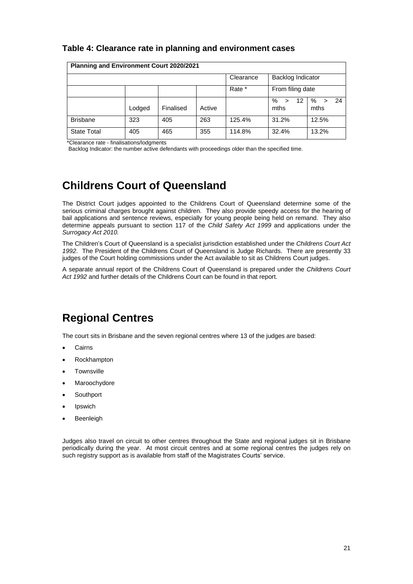#### **Table 4: Clearance rate in planning and environment cases**

| <b>Planning and Environment Court 2020/2021</b> |        |           |        |           |                                        |                                   |
|-------------------------------------------------|--------|-----------|--------|-----------|----------------------------------------|-----------------------------------|
|                                                 |        |           |        | Clearance | Backlog Indicator                      |                                   |
|                                                 |        |           |        | Rate *    | From filing date                       |                                   |
|                                                 | Lodged | Finalised | Active |           | $\%$<br>$12 \overline{ }$<br>⋗<br>mths | - 24<br>%<br>$\mathbf{v}$<br>mths |
| <b>Brisbane</b>                                 | 323    | 405       | 263    | 125.4%    | 31.2%                                  | 12.5%                             |
| <b>State Total</b>                              | 405    | 465       | 355    | 114.8%    | 32.4%                                  | 13.2%                             |

\*Clearance rate - finalisations/lodgments

Backlog Indicator: the number active defendants with proceedings older than the specified time.

### <span id="page-20-0"></span>**Childrens Court of Queensland**

The District Court judges appointed to the Childrens Court of Queensland determine some of the serious criminal charges brought against children. They also provide speedy access for the hearing of bail applications and sentence reviews, especially for young people being held on remand. They also determine appeals pursuant to section 117 of the *Child Safety Act 1999* and applications under the *Surrogacy Act 2010.*

The Children's Court of Queensland is a specialist jurisdiction established under the *Childrens Court Act 1992*. The President of the Childrens Court of Queensland is Judge Richards. There are presently 33 judges of the Court holding commissions under the Act available to sit as Childrens Court judges.

A separate annual report of the Childrens Court of Queensland is prepared under the *Childrens Court Act 1992* and further details of the Childrens Court can be found in that report.

### <span id="page-20-1"></span>**Regional Centres**

The court sits in Brisbane and the seven regional centres where 13 of the judges are based:

- **Cairns**
- Rockhampton
- **Townsville**
- **Maroochydore**
- **Southport**
- **Ipswich**
- **Beenleigh**

Judges also travel on circuit to other centres throughout the State and regional judges sit in Brisbane periodically during the year. At most circuit centres and at some regional centres the judges rely on such registry support as is available from staff of the Magistrates Courts' service.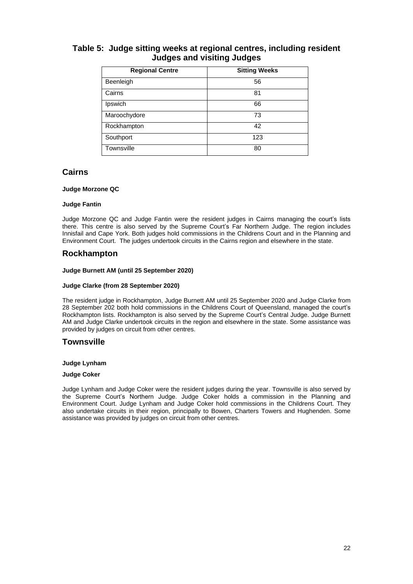#### **Table 5: Judge sitting weeks at regional centres, including resident Judges and visiting Judges**

| <b>Regional Centre</b> | <b>Sitting Weeks</b> |
|------------------------|----------------------|
| Beenleigh              | 56                   |
| Cairns                 | 81                   |
| Ipswich                | 66                   |
| Maroochydore           | 73                   |
| Rockhampton            | 42                   |
| Southport              | 123                  |
| Townsville             | 80                   |

#### **Cairns**

#### **Judge Morzone QC**

#### **Judge Fantin**

Judge Morzone QC and Judge Fantin were the resident judges in Cairns managing the court's lists there. This centre is also served by the Supreme Court's Far Northern Judge. The region includes Innisfail and Cape York. Both judges hold commissions in the Childrens Court and in the Planning and Environment Court. The judges undertook circuits in the Cairns region and elsewhere in the state.

#### **Rockhampton**

#### **Judge Burnett AM (until 25 September 2020)**

#### **Judge Clarke (from 28 September 2020)**

The resident judge in Rockhampton, Judge Burnett AM until 25 September 2020 and Judge Clarke from 28 September 202 both hold commissions in the Childrens Court of Queensland, managed the court's Rockhampton lists. Rockhampton is also served by the Supreme Court's Central Judge. Judge Burnett AM and Judge Clarke undertook circuits in the region and elsewhere in the state. Some assistance was provided by judges on circuit from other centres.

#### **Townsville**

#### **Judge Lynham**

#### **Judge Coker**

Judge Lynham and Judge Coker were the resident judges during the year. Townsville is also served by the Supreme Court's Northern Judge. Judge Coker holds a commission in the Planning and Environment Court. Judge Lynham and Judge Coker hold commissions in the Childrens Court. They also undertake circuits in their region, principally to Bowen, Charters Towers and Hughenden. Some assistance was provided by judges on circuit from other centres.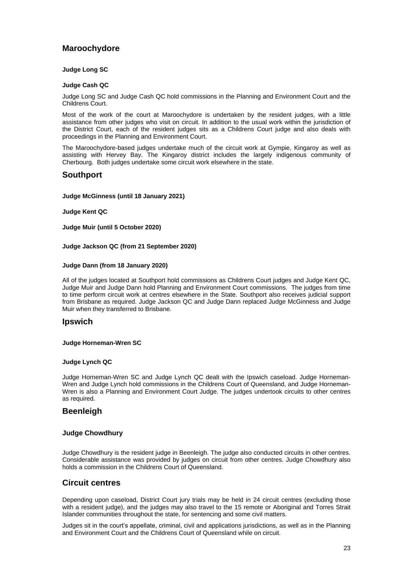#### **Maroochydore**

#### **Judge Long SC**

#### **Judge Cash QC**

Judge Long SC and Judge Cash QC hold commissions in the Planning and Environment Court and the Childrens Court.

Most of the work of the court at Maroochydore is undertaken by the resident judges, with a little assistance from other judges who visit on circuit. In addition to the usual work within the jurisdiction of the District Court, each of the resident judges sits as a Childrens Court judge and also deals with proceedings in the Planning and Environment Court.

The Maroochydore-based judges undertake much of the circuit work at Gympie, Kingaroy as well as assisting with Hervey Bay. The Kingaroy district includes the largely indigenous community of Cherbourg. Both judges undertake some circuit work elsewhere in the state.

#### **Southport**

#### **Judge McGinness (until 18 January 2021)**

**Judge Kent QC**

**Judge Muir (until 5 October 2020)**

#### **Judge Jackson QC (from 21 September 2020)**

#### **Judge Dann (from 18 January 2020)**

All of the judges located at Southport hold commissions as Childrens Court judges and Judge Kent QC, Judge Muir and Judge Dann hold Planning and Environment Court commissions. The judges from time to time perform circuit work at centres elsewhere in the State. Southport also receives judicial support from Brisbane as required. Judge Jackson QC and Judge Dann replaced Judge McGinness and Judge Muir when they transferred to Brisbane.

#### **Ipswich**

#### **Judge Horneman-Wren SC**

#### **Judge Lynch QC**

Judge Horneman-Wren SC and Judge Lynch QC dealt with the Ipswich caseload. Judge Horneman-Wren and Judge Lynch hold commissions in the Childrens Court of Queensland, and Judge Horneman-Wren is also a Planning and Environment Court Judge. The judges undertook circuits to other centres as required.

#### **Beenleigh**

#### **Judge Chowdhury**

Judge Chowdhury is the resident judge in Beenleigh. The judge also conducted circuits in other centres. Considerable assistance was provided by judges on circuit from other centres. Judge Chowdhury also holds a commission in the Childrens Court of Queensland.

#### **Circuit centres**

Depending upon caseload, District Court jury trials may be held in 24 circuit centres (excluding those with a resident judge), and the judges may also travel to the 15 remote or Aboriginal and Torres Strait Islander communities throughout the state, for sentencing and some civil matters.

Judges sit in the court's appellate, criminal, civil and applications jurisdictions, as well as in the Planning and Environment Court and the Childrens Court of Queensland while on circuit.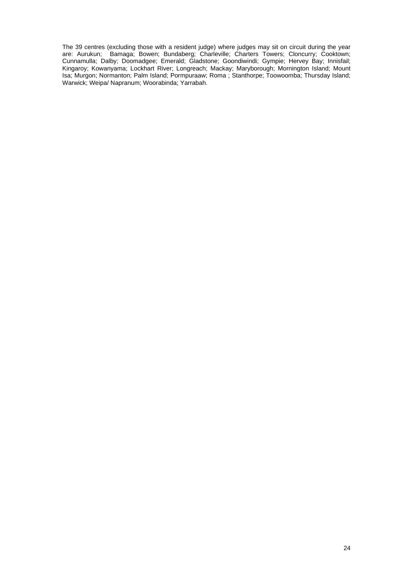The 39 centres (excluding those with a resident judge) where judges may sit on circuit during the year are: Aurukun; Bamaga; Bowen; Bundaberg; Charleville; Charters Towers; Cloncurry; Cooktown; Cunnamulla; Dalby; Doomadgee; Emerald; Gladstone; Goondiwindi; Gympie; Hervey Bay; Innisfail; Kingaroy; Kowanyama; Lockhart River; Longreach; Mackay; Maryborough; Mornington Island; Mount Isa; Murgon; Normanton; Palm Island; Pormpuraaw; Roma ; Stanthorpe; Toowoomba; Thursday Island; Warwick; Weipa/ Napranum; Woorabinda; Yarrabah.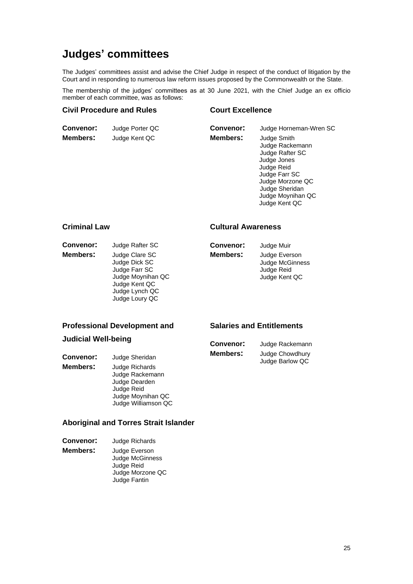### <span id="page-24-0"></span>**Judges' committees**

The Judges' committees assist and advise the Chief Judge in respect of the conduct of litigation by the Court and in responding to numerous law reform issues proposed by the Commonwealth or the State.

The membership of the judges' committees as at 30 June 2021, with the Chief Judge an ex officio member of each committee, was as follows:

#### **Civil Procedure and Rules**

#### **Court Excellence**

| <b>Convenor:</b> | Judge Porter QC |
|------------------|-----------------|
| <b>Members:</b>  | Judge Kent QC   |

**Convenor:** Judge Horneman-Wren SC **Members:** Judge Smith Judge Rackemann Judge Rafter SC Judge Jones Judge Reid Judge Farr SC Judge Morzone QC Judge Sheridan Judge Moynihan QC Judge Kent QC

#### **Criminal Law**

- 
- **Convenor:** Judge Rafter SC **Members:** Judge Clare SC Judge Dick SC Judge Farr SC Judge Moynihan QC Judge Kent QC Judge Lynch QC Judge Loury QC

#### **Cultural Awareness**

| Convenor: | Judge Muir      |
|-----------|-----------------|
| Members:  | Judge Everson   |
|           | Judge McGinness |
|           | Judge Reid      |
|           | Judge Kent QC   |

#### **Professional Development and**

#### **Judicial Well-being**

**Convenor:** Judge Sheridan **Members:** Judge Richards Judge Rackemann Judge Dearden Judge Reid Judge Moynihan QC Judge Williamson QC

### **Aboriginal and Torres Strait Islander**

- **Convenor:** Judge Richards
- **Members:** Judge Everson Judge McGinness Judge Reid Judge Morzone QC Judge Fantin

#### **Salaries and Entitlements**

| Convenor: | Judge Rackemann |
|-----------|-----------------|
| Members:  | Judge Chowdhury |
|           | Judge Barlow QC |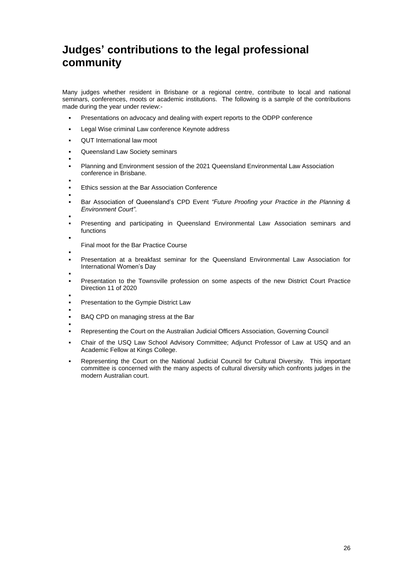### <span id="page-25-0"></span>**Judges' contributions to the legal professional community**

Many judges whether resident in Brisbane or a regional centre, contribute to local and national seminars, conferences, moots or academic institutions. The following is a sample of the contributions made during the year under review:-

- Presentations on advocacy and dealing with expert reports to the ODPP conference
- Legal Wise criminal Law conference Keynote address
- QUT International law moot
- Queensland Law Society seminars
- Planning and Environment session of the 2021 Queensland Environmental Law Association conference in Brisbane.
- Ethics session at the Bar Association Conference
- ▪

▪

- Bar Association of Queensland's CPD Event *"Future Proofing your Practice in the Planning & Environment Court"*.
- Presenting and participating in Queensland Environmental Law Association seminars and functions
- Final moot for the Bar Practice Course
- Presentation at a breakfast seminar for the Queensland Environmental Law Association for International Women's Day
- Presentation to the Townsville profession on some aspects of the new District Court Practice Direction 11 of 2020
- Presentation to the Gympie District Law
- BAQ CPD on managing stress at the Bar
- Representing the Court on the Australian Judicial Officers Association, Governing Council
- Chair of the USQ Law School Advisory Committee; Adjunct Professor of Law at USQ and an Academic Fellow at Kings College.
- Representing the Court on the National Judicial Council for Cultural Diversity. This important committee is concerned with the many aspects of cultural diversity which confronts judges in the modern Australian court.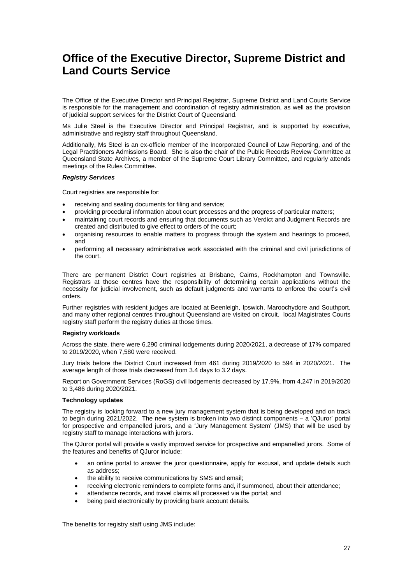### <span id="page-26-0"></span>**Office of the Executive Director, Supreme District and Land Courts Service**

The Office of the Executive Director and Principal Registrar, Supreme District and Land Courts Service is responsible for the management and coordination of registry administration, as well as the provision of judicial support services for the District Court of Queensland.

Ms Julie Steel is the Executive Director and Principal Registrar, and is supported by executive, administrative and registry staff throughout Queensland.

Additionally, Ms Steel is an ex-officio member of the Incorporated Council of Law Reporting, and of the Legal Practitioners Admissions Board. She is also the chair of the Public Records Review Committee at Queensland State Archives, a member of the Supreme Court Library Committee, and regularly attends meetings of the Rules Committee.

#### *Registry Services*

Court registries are responsible for:

- receiving and sealing documents for filing and service;
- providing procedural information about court processes and the progress of particular matters;
- maintaining court records and ensuring that documents such as Verdict and Judgment Records are created and distributed to give effect to orders of the court;
- organising resources to enable matters to progress through the system and hearings to proceed, and
- performing all necessary administrative work associated with the criminal and civil jurisdictions of the court.

There are permanent District Court registries at Brisbane, Cairns, Rockhampton and Townsville. Registrars at those centres have the responsibility of determining certain applications without the necessity for judicial involvement, such as default judgments and warrants to enforce the court's civil orders.

Further registries with resident judges are located at Beenleigh, Ipswich, Maroochydore and Southport, and many other regional centres throughout Queensland are visited on circuit. local Magistrates Courts registry staff perform the registry duties at those times.

#### <span id="page-26-1"></span>**Registry workloads**

Across the state, there were 6,290 criminal lodgements during 2020/2021, a decrease of 17% compared to 2019/2020, when 7,580 were received.

Jury trials before the District Court increased from 461 during 2019/2020 to 594 in 2020/2021. The average length of those trials decreased from 3.4 days to 3.2 days.

Report on Government Services (RoGS) civil lodgements decreased by 17.9%, from 4,247 in 2019/2020 to 3,486 during 2020/2021.

#### <span id="page-26-2"></span>**Technology updates**

The registry is looking forward to a new jury management system that is being developed and on track to begin during 2021/2022. The new system is broken into two distinct components – a 'QJuror' portal for prospective and empanelled jurors, and a 'Jury Management System' (JMS) that will be used by registry staff to manage interactions with jurors.

The QJuror portal will provide a vastly improved service for prospective and empanelled jurors. Some of the features and benefits of QJuror include:

- an online portal to answer the juror questionnaire, apply for excusal, and update details such as address;
- the ability to receive communications by SMS and email;
- receiving electronic reminders to complete forms and, if summoned, about their attendance;
- attendance records, and travel claims all processed via the portal; and
- being paid electronically by providing bank account details.

The benefits for registry staff using JMS include: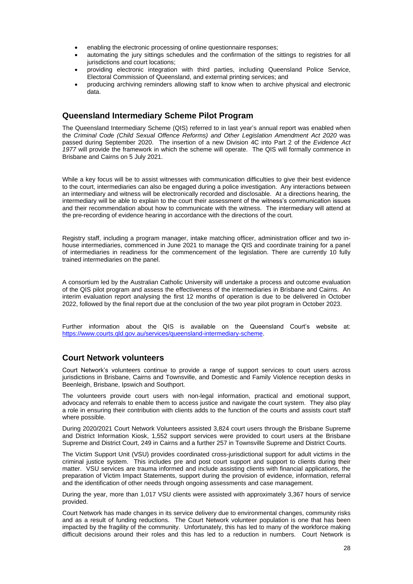- enabling the electronic processing of online questionnaire responses;
- automating the jury sittings schedules and the confirmation of the sittings to registries for all jurisdictions and court locations;
- providing electronic integration with third parties, including Queensland Police Service, Electoral Commission of Queensland, and external printing services; and
- producing archiving reminders allowing staff to know when to archive physical and electronic data.

#### **Queensland Intermediary Scheme Pilot Program**

The Queensland Intermediary Scheme (QIS) referred to in last year's annual report was enabled when the *Criminal Code (Child Sexual Offence Reforms) and Other Legislation Amendment Act 2020* was passed during September 2020. The insertion of a new Division 4C into Part 2 of the *Evidence Act 1977* will provide the framework in which the scheme will operate. The QIS will formally commence in Brisbane and Cairns on 5 July 2021.

While a key focus will be to assist witnesses with communication difficulties to give their best evidence to the court, intermediaries can also be engaged during a police investigation. Any interactions between an intermediary and witness will be electronically recorded and disclosable. At a directions hearing, the intermediary will be able to explain to the court their assessment of the witness's communication issues and their recommendation about how to communicate with the witness. The intermediary will attend at the pre-recording of evidence hearing in accordance with the directions of the court.

Registry staff, including a program manager, intake matching officer, administration officer and two inhouse intermediaries, commenced in June 2021 to manage the QIS and coordinate training for a panel of intermediaries in readiness for the commencement of the legislation. There are currently 10 fully trained intermediaries on the panel.

A consortium led by the Australian Catholic University will undertake a process and outcome evaluation of the QIS pilot program and assess the effectiveness of the intermediaries in Brisbane and Cairns. An interim evaluation report analysing the first 12 months of operation is due to be delivered in October 2022, followed by the final report due at the conclusion of the two year pilot program in October 2023.

Further information about the QIS is available on the Queensland Court's website at: [https://www.courts.qld.gov.au/services/queensland-intermediary-scheme.](https://www.courts.qld.gov.au/services/queensland-intermediary-scheme)

#### **Court Network volunteers**

Court Network's volunteers continue to provide a range of support services to court users across jurisdictions in Brisbane, Cairns and Townsville, and Domestic and Family Violence reception desks in Beenleigh, Brisbane, Ipswich and Southport.

The volunteers provide court users with non-legal information, practical and emotional support, advocacy and referrals to enable them to access justice and navigate the court system. They also play a role in ensuring their contribution with clients adds to the function of the courts and assists court staff where possible.

During 2020/2021 Court Network Volunteers assisted 3,824 court users through the Brisbane Supreme and District Information Kiosk, 1,552 support services were provided to court users at the Brisbane Supreme and District Court, 249 in Cairns and a further 257 in Townsville Supreme and District Courts.

The Victim Support Unit (VSU) provides coordinated cross-jurisdictional support for adult victims in the criminal justice system. This includes pre and post court support and support to clients during their matter. VSU services are trauma informed and include assisting clients with financial applications, the preparation of Victim Impact Statements, support during the provision of evidence, information, referral and the identification of other needs through ongoing assessments and case management.

During the year, more than 1,017 VSU clients were assisted with approximately 3,367 hours of service provided.

Court Network has made changes in its service delivery due to environmental changes, community risks and as a result of funding reductions. The Court Network volunteer population is one that has been impacted by the fragility of the community. Unfortunately, this has led to many of the workforce making difficult decisions around their roles and this has led to a reduction in numbers. Court Network is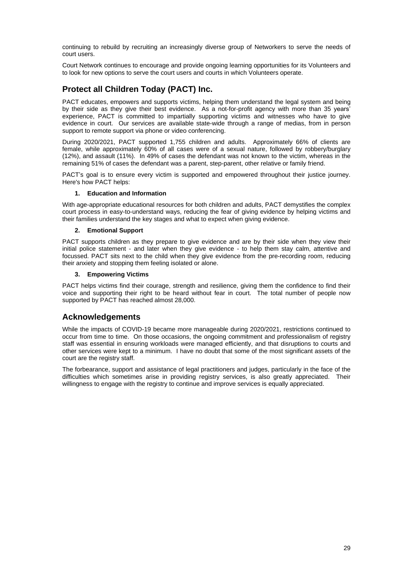continuing to rebuild by recruiting an increasingly diverse group of Networkers to serve the needs of court users.

Court Network continues to encourage and provide ongoing learning opportunities for its Volunteers and to look for new options to serve the court users and courts in which Volunteers operate.

#### **Protect all Children Today (PACT) Inc.**

PACT educates, empowers and supports victims, helping them understand the legal system and being by their side as they give their best evidence. As a not-for-profit agency with more than 35 years' experience, PACT is committed to impartially supporting victims and witnesses who have to give evidence in court. Our services are available state-wide through a range of medias, from in person support to remote support via phone or video conferencing.

During 2020/2021, PACT supported 1,755 children and adults. Approximately 66% of clients are female, while approximately 60% of all cases were of a sexual nature, followed by robbery/burglary (12%), and assault (11%). In 49% of cases the defendant was not known to the victim, whereas in the remaining 51% of cases the defendant was a parent, step-parent, other relative or family friend.

PACT's goal is to ensure every victim is supported and empowered throughout their justice journey. Here's how PACT helps:

#### **1. Education and Information**

With age-appropriate educational resources for both children and adults, PACT demystifies the complex court process in easy-to-understand ways, reducing the fear of giving evidence by helping victims and their families understand the key stages and what to expect when giving evidence.

#### **2. Emotional Support**

PACT supports children as they prepare to give evidence and are by their side when they view their initial police statement - and later when they give evidence - to help them stay calm, attentive and focussed. PACT sits next to the child when they give evidence from the pre-recording room, reducing their anxiety and stopping them feeling isolated or alone.

#### **3. Empowering Victims**

PACT helps victims find their courage, strength and resilience, giving them the confidence to find their voice and supporting their right to be heard without fear in court. The total number of people now supported by PACT has reached almost 28,000.

#### **Acknowledgements**

While the impacts of COVID-19 became more manageable during 2020/2021, restrictions continued to occur from time to time. On those occasions, the ongoing commitment and professionalism of registry staff was essential in ensuring workloads were managed efficiently, and that disruptions to courts and other services were kept to a minimum. I have no doubt that some of the most significant assets of the court are the registry staff.

The forbearance, support and assistance of legal practitioners and judges, particularly in the face of the difficulties which sometimes arise in providing registry services, is also greatly appreciated. Their willingness to engage with the registry to continue and improve services is equally appreciated.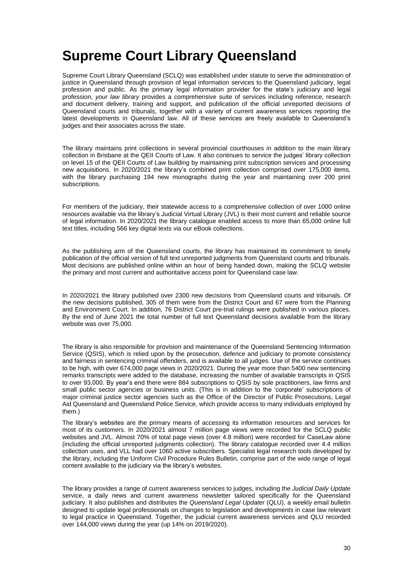### <span id="page-29-0"></span>**Supreme Court Library Queensland**

Supreme Court Library Queensland (SCLQ) was established under statute to serve the administration of justice in Queensland through provision of legal information services to the Queensland judiciary, legal profession and public. As the primary legal information provider for the state's judiciary and legal profession, *your law library* provides a comprehensive suite of services including reference, research and document delivery, training and support, and publication of the official unreported decisions of Queensland courts and tribunals, together with a variety of current awareness services reporting the latest developments in Queensland law. All of these services are freely available to Queensland's judges and their associates across the state.

The library maintains print collections in several provincial courthouses in addition to the main library collection in Brisbane at the QEII Courts of Law. It also continues to service the judges' library collection on level 15 of the QEII Courts of Law building by maintaining print subscription services and processing new acquisitions. In 2020/2021 the library's combined print collection comprised over 175,000 items, with the library purchasing 194 new monographs during the year and maintaining over 200 print subscriptions.

For members of the judiciary, their statewide access to a comprehensive collection of over 1000 online resources available via the library's Judicial Virtual Library (JVL) is their most current and reliable source of legal information. In 2020/2021 the library catalogue enabled access to more than 65,000 online full text titles, including 566 key digital texts via our eBook collections.

As the publishing arm of the Queensland courts, the library has maintained its commitment to timely publication of the official version of full text unreported judgments from Queensland courts and tribunals. Most decisions are published online within an hour of being handed down, making the SCLQ website the primary and most current and authoritative access point for Queensland case law.

In 2020/2021 the library published over 2300 new decisions from Queensland courts and tribunals. Of the new decisions published, 305 of them were from the District Court and 67 were from the Planning and Environment Court. In addition, 76 District Court pre-trial rulings were published in various places. By the end of June 2021 the total number of full text Queensland decisions available from the library website was over 75,000.

The library is also responsible for provision and maintenance of the Queensland Sentencing Information Service (QSIS), which is relied upon by the prosecution, defence and judiciary to promote consistency and fairness in sentencing criminal offenders, and is available to all judges. Use of the service continues to be high, with over 674,000 page views in 2020/2021. During the year more than 5400 new sentencing remarks transcripts were added to the database, increasing the number of available transcripts in QSIS to over 93,000. By year's end there were 884 subscriptions to QSIS by sole practitioners, law firms and small public sector agencies or business units. (This is in addition to the 'corporate' subscriptions of major criminal justice sector agencies such as the Office of the Director of Public Prosecutions, Legal Aid Queensland and Queensland Police Service, which provide access to many individuals employed by them.)

The library's websites are the primary means of accessing its information resources and services for most of its customers. In 2020/2021 almost 7 million page views were recorded for the SCLQ public websites and JVL. Almost 70% of total page views (over 4.8 million) were recorded for CaseLaw alone (including the official unreported judgments collection). The library catalogue recorded over 4.4 million collection uses, and VLL had over 1060 active subscribers. Specialist legal research tools developed by the library, including the Uniform Civil Procedure Rules Bulletin, comprise part of the wide range of legal content available to the judiciary via the library's websites.

The library provides a range of current awareness services to judges, including the *Judicial Daily Update*  service, a daily news and current awareness newsletter tailored specifically for the Queensland judiciary. It also publishes and distributes the *Queensland Legal Updater* (QLU), a weekly email bulletin designed to update legal professionals on changes to legislation and developments in case law relevant to legal practice in Queensland. Together, the judicial current awareness services and QLU recorded over 144,000 views during the year (up 14% on 2019/2020).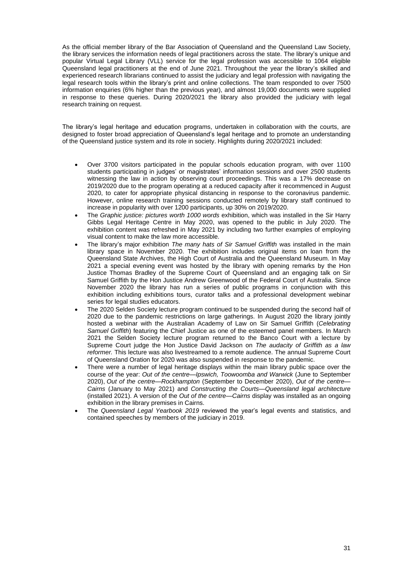As the official member library of the Bar Association of Queensland and the Queensland Law Society, the library services the information needs of legal practitioners across the state. The library's unique and popular Virtual Legal Library (VLL) service for the legal profession was accessible to 1064 eligible Queensland legal practitioners at the end of June 2021. Throughout the year the library's skilled and experienced research librarians continued to assist the judiciary and legal profession with navigating the legal research tools within the library's print and online collections. The team responded to over 7500 information enquiries (6% higher than the previous year), and almost 19,000 documents were supplied in response to these queries. During 2020/2021 the library also provided the judiciary with legal research training on request.

The library's legal heritage and education programs, undertaken in collaboration with the courts, are designed to foster broad appreciation of Queensland's legal heritage and to promote an understanding of the Queensland justice system and its role in society. Highlights during 2020/2021 included:

- Over 3700 visitors participated in the popular schools education program, with over 1100 students participating in judges' or magistrates' information sessions and over 2500 students witnessing the law in action by observing court proceedings. This was a 17% decrease on 2019/2020 due to the program operating at a reduced capacity after it recommenced in August 2020, to cater for appropriate physical distancing in response to the coronavirus pandemic. However, online research training sessions conducted remotely by library staff continued to increase in popularity with over 1200 participants, up 30% on 2019/2020.
- The *Graphic justice: pictures worth 1000 words* exhibition, which was installed in the Sir Harry Gibbs Legal Heritage Centre in May 2020, was opened to the public in July 2020. The exhibition content was refreshed in May 2021 by including two further examples of employing visual content to make the law more accessible.
- The library's major exhibition *The many hats of Sir Samuel Griffith* was installed in the main library space in November 2020. The exhibition includes original items on loan from the Queensland State Archives, the High Court of Australia and the Queensland Museum. In May 2021 a special evening event was hosted by the library with opening remarks by the Hon Justice Thomas Bradley of the Supreme Court of Queensland and an engaging talk on Sir Samuel Griffith by the Hon Justice Andrew Greenwood of the Federal Court of Australia. Since November 2020 the library has run a series of public programs in conjunction with this exhibition including exhibitions tours, curator talks and a professional development webinar series for legal studies educators.
- The 2020 Selden Society lecture program continued to be suspended during the second half of 2020 due to the pandemic restrictions on large gatherings. In August 2020 the library jointly hosted a webinar with the Australian Academy of Law on Sir Samuel Griffith (*Celebrating Samuel Griffith*) featuring the Chief Justice as one of the esteemed panel members. In March 2021 the Selden Society lecture program returned to the Banco Court with a lecture by Supreme Court judge the Hon Justice David Jackson on *The audacity of Griffith as a law reformer.* This lecture was also livestreamed to a remote audience. The annual Supreme Court of Queensland Oration for 2020 was also suspended in response to the pandemic.
- There were a number of legal heritage displays within the main library public space over the course of the year: *Out of the centre—Ipswich, Toowoomba and Warwick* (June to September 2020), *Out of the centre—Rockhampton* (September to December 2020), *Out of the centre— Cairns* (January to May 2021) and *Constructing the Courts—Queensland legal architecture* (installed 2021). A version of the *Out of the centre—Cairns* display was installed as an ongoing exhibition in the library premises in Cairns.
- The *Queensland Legal Yearbook 2019* reviewed the year's legal events and statistics, and contained speeches by members of the judiciary in 2019.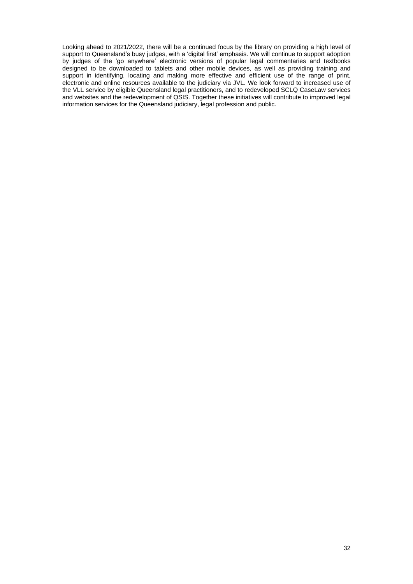Looking ahead to 2021/2022, there will be a continued focus by the library on providing a high level of support to Queensland's busy judges, with a 'digital first' emphasis. We will continue to support adoption by judges of the 'go anywhere' electronic versions of popular legal commentaries and textbooks designed to be downloaded to tablets and other mobile devices, as well as providing training and support in identifying, locating and making more effective and efficient use of the range of print, electronic and online resources available to the judiciary via JVL. We look forward to increased use of the VLL service by eligible Queensland legal practitioners, and to redeveloped SCLQ CaseLaw services and websites and the redevelopment of QSIS. Together these initiatives will contribute to improved legal information services for the Queensland judiciary, legal profession and public.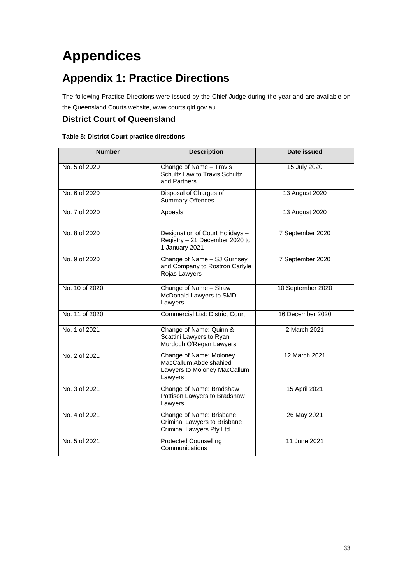## <span id="page-32-0"></span>**Appendices**

### <span id="page-32-1"></span>**Appendix 1: Practice Directions**

The following Practice Directions were issued by the Chief Judge during the year and are available on the Queensland Courts website, [www.courts.qld.gov.au.](http://www.courts.qld.gov.au/)

#### **District Court of Queensland**

#### **Table 5: District Court practice directions**

| <b>Number</b>  | <b>Description</b>                                                                           | Date issued       |
|----------------|----------------------------------------------------------------------------------------------|-------------------|
| No. 5 of 2020  | Change of Name - Travis<br>Schultz Law to Travis Schultz<br>and Partners                     | 15 July 2020      |
| No. 6 of 2020  | Disposal of Charges of<br><b>Summary Offences</b>                                            | 13 August 2020    |
| No. 7 of 2020  | Appeals                                                                                      | 13 August 2020    |
| No. 8 of 2020  | Designation of Court Holidays -<br>Registry - 21 December 2020 to<br>1 January 2021          | 7 September 2020  |
| No. 9 of 2020  | Change of Name - SJ Gurnsey<br>and Company to Rostron Carlyle<br>Rojas Lawyers               | 7 September 2020  |
| No. 10 of 2020 | Change of Name - Shaw<br>McDonald Lawyers to SMD<br>Lawyers                                  | 10 September 2020 |
| No. 11 of 2020 | <b>Commercial List: District Court</b>                                                       | 16 December 2020  |
| No. 1 of 2021  | Change of Name: Quinn &<br>Scattini Lawyers to Ryan<br>Murdoch O'Regan Lawyers               | 2 March 2021      |
| No. 2 of 2021  | Change of Name: Moloney<br>MacCallum Abdelshahied<br>Lawyers to Moloney MacCallum<br>Lawyers | 12 March 2021     |
| No. 3 of 2021  | Change of Name: Bradshaw<br>Pattison Lawyers to Bradshaw<br>Lawyers                          | 15 April 2021     |
| No. 4 of 2021  | Change of Name: Brisbane<br>Criminal Lawyers to Brisbane<br><b>Criminal Lawyers Pty Ltd</b>  | 26 May 2021       |
| No. 5 of 2021  | <b>Protected Counselling</b><br>Communications                                               | 11 June 2021      |